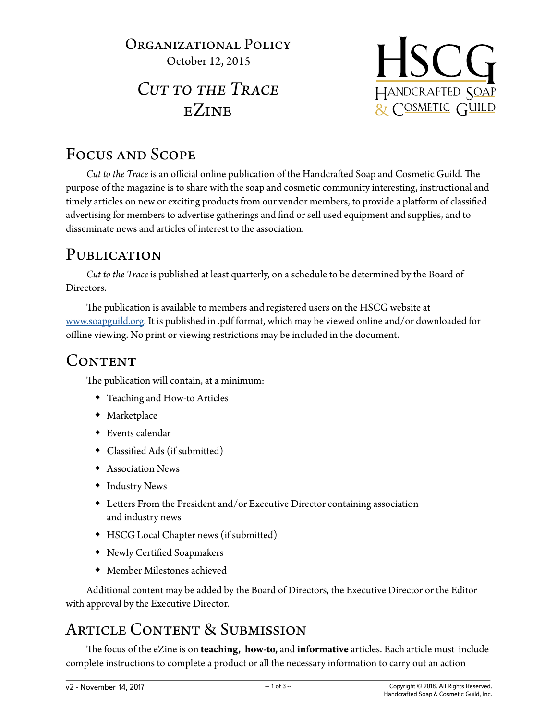#### Organizational Policy October 12, 2015

# *Cut to the Trace* eZine



### Focus and Scope

*Cut to the Trace* is an official online publication of the Handcrafted Soap and Cosmetic Guild. The purpose of the magazine is to share with the soap and cosmetic community interesting, instructional and timely articles on new or exciting products from our vendor members, to provide a platform of classified advertising for members to advertise gatherings and find or sell used equipment and supplies, and to disseminate news and articles of interest to the association.

### PUBLICATION

*Cut to the Trace* is published at least quarterly, on a schedule to be determined by the Board of Directors.

The publication is available to members and registered users on the HSCG website at [www.soapguild.org](https://www.soapguild.org). It is published in .pdf format, which may be viewed online and/or downloaded for offline viewing. No print or viewing restrictions may be included in the document.

### CONTENT

The publication will contain, at a minimum:

- Teaching and How-to Articles
- Marketplace
- Events calendar
- Classified Ads (if submitted)
- Association News
- Industry News
- Letters From the President and/or Executive Director containing association and industry news
- HSCG Local Chapter news (if submitted)
- Newly Certified Soapmakers
- Member Milestones achieved

Additional content may be added by the Board of Directors, the Executive Director or the Editor with approval by the Executive Director.

## Article Content & Submission

The focus of the eZine is on **teaching, how-to,** and **informative** articles. Each article must include complete instructions to complete a product or all the necessary information to carry out an action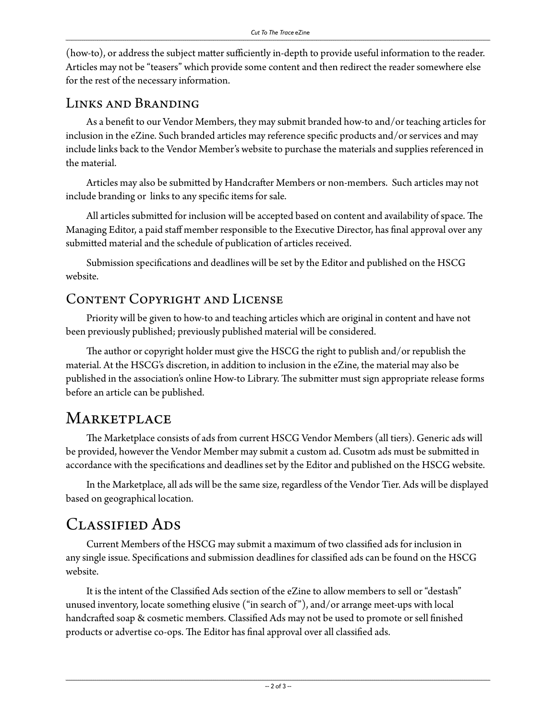(how-to), or address the subject matter sufficiently in-depth to provide useful information to the reader. Articles may not be "teasers" which provide some content and then redirect the reader somewhere else for the rest of the necessary information.

#### Links and Branding

As a benefit to our Vendor Members, they may submit branded how-to and/or teaching articles for inclusion in the eZine. Such branded articles may reference specific products and/or services and may include links back to the Vendor Member's website to purchase the materials and supplies referenced in the material.

Articles may also be submitted by Handcrafter Members or non-members. Such articles may not include branding or links to any specific items for sale.

All articles submitted for inclusion will be accepted based on content and availability of space. The Managing Editor, a paid staff member responsible to the Executive Director, has final approval over any submitted material and the schedule of publication of articles received.

Submission specifications and deadlines will be set by the Editor and published on the HSCG website.

#### Content Copyright and License

Priority will be given to how-to and teaching articles which are original in content and have not been previously published; previously published material will be considered.

The author or copyright holder must give the HSCG the right to publish and/or republish the material. At the HSCG's discretion, in addition to inclusion in the eZine, the material may also be published in the association's online How-to Library. The submitter must sign appropriate release forms before an article can be published.

### **MARKETPLACE**

The Marketplace consists of ads from current HSCG Vendor Members (all tiers). Generic ads will be provided, however the Vendor Member may submit a custom ad. Cusotm ads must be submitted in accordance with the specifications and deadlines set by the Editor and published on the HSCG website.

In the Marketplace, all ads will be the same size, regardless of the Vendor Tier. Ads will be displayed based on geographical location.

### Classified Ads

Current Members of the HSCG may submit a maximum of two classified ads for inclusion in any single issue. Specifications and submission deadlines for classified ads can be found on the HSCG website.

It is the intent of the Classified Ads section of the eZine to allow members to sell or "destash" unused inventory, locate something elusive ("in search of "), and/or arrange meet-ups with local handcrafted soap & cosmetic members. Classified Ads may not be used to promote or sell finished products or advertise co-ops. The Editor has final approval over all classified ads.